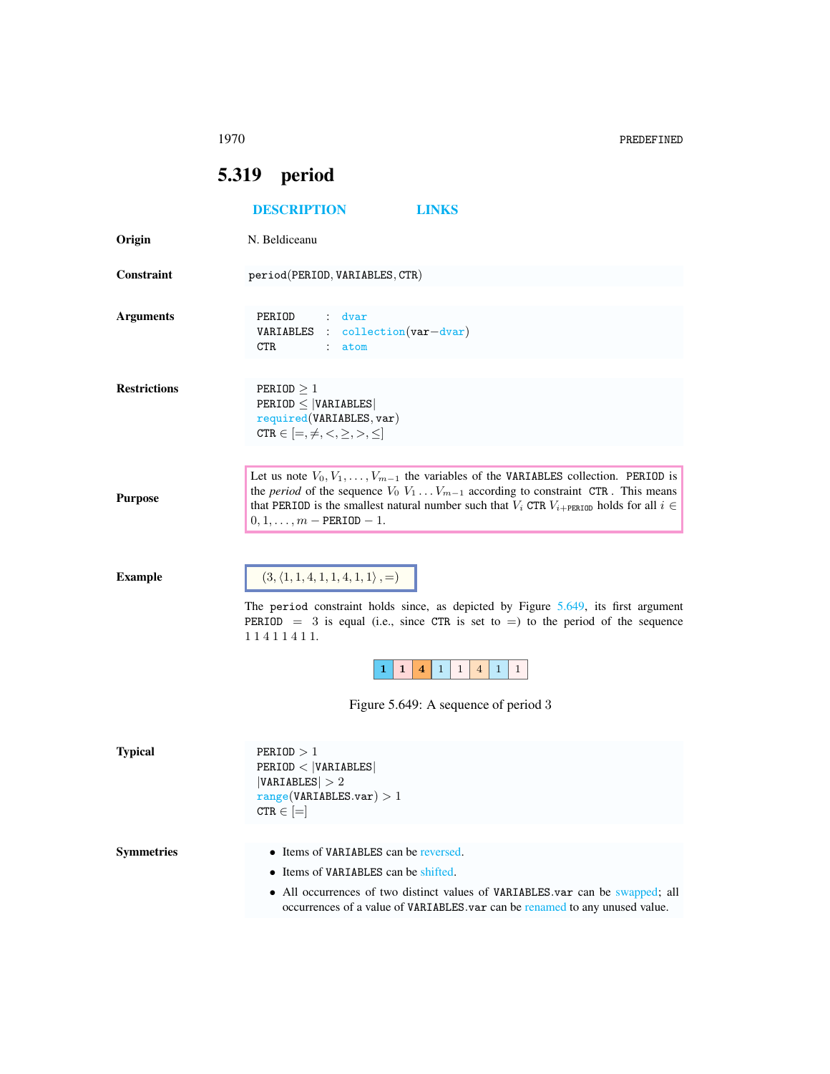1970 PREDEFINED

## <span id="page-0-1"></span><span id="page-0-0"></span>5.319 period

|                     | <b>DESCRIPTION</b><br><b>LINKS</b>                                                                                                                                                                                                                                                                                                        |
|---------------------|-------------------------------------------------------------------------------------------------------------------------------------------------------------------------------------------------------------------------------------------------------------------------------------------------------------------------------------------|
| Origin              | N. Beldiceanu                                                                                                                                                                                                                                                                                                                             |
| <b>Constraint</b>   | period(PERIOD, VARIABLES, CTR)                                                                                                                                                                                                                                                                                                            |
| <b>Arguments</b>    | PERIOD<br>$\mathcal{L}$<br>dvar<br>$\therefore$ collection (var-dvar)<br>VARIABLES<br>CTR.<br>atom<br>$\mathbb{Z}^{\mathbb{Z}}$                                                                                                                                                                                                           |
| <b>Restrictions</b> | PERIOD $\geq 1$<br>$PERIOD \leq  VARIABLES $<br>required(VARIABLES, var)<br>CTR $\in$ $[=, \neq, <, \geq, >, \leq]$                                                                                                                                                                                                                       |
| <b>Purpose</b>      | Let us note $V_0, V_1, \ldots, V_{m-1}$ the variables of the VARIABLES collection. PERIOD is<br>the <i>period</i> of the sequence $V_0$ $V_1$ $V_{m-1}$ according to constraint CTR. This means<br>that PERIOD is the smallest natural number such that $V_i$ CTR $V_{i+PERTOD}$ holds for all $i \in$<br>$0, 1, \ldots, m$ - PERIOD - 1. |
| <b>Example</b>      | $(3, \langle 1, 1, 4, 1, 1, 4, 1, 1 \rangle, =)$<br>The period constraint holds since, as depicted by Figure 5.649, its first argument<br>PERIOD = 3 is equal (i.e., since CTR is set to = ) to the period of the sequence<br>11411411.                                                                                                   |
|                     | $\mathbf{1}$<br>$\mathbf{1}$<br>1<br>$\overline{4}$<br>$\mathbf{1}$<br>$\mathbf{1}$<br>4                                                                                                                                                                                                                                                  |
|                     | Figure 5.649: A sequence of period 3                                                                                                                                                                                                                                                                                                      |
| <b>Typical</b>      | PERIOD > 1<br>PERIOD <  VARIABLES <br> VARIABLES  > 2<br>range(VARIABLES.var) > 1<br>$CTR \in$ $[=]$                                                                                                                                                                                                                                      |
| <b>Symmetries</b>   | • Items of VARIABLES can be reversed.<br>• Items of VARIABLES can be shifted.<br>• All occurrences of two distinct values of VARIABLES var can be swapped; all<br>occurrences of a value of VARIABLES var can be renamed to any unused value.                                                                                             |